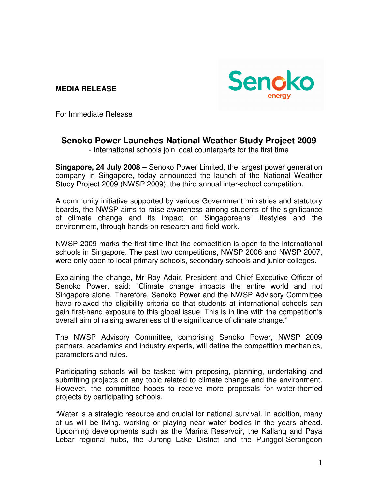**MEDIA RELEASE** 



For Immediate Release

## **Senoko Power Launches National Weather Study Project 2009**

- International schools join local counterparts for the first time

**Singapore, 24 July 2008 –** Senoko Power Limited, the largest power generation company in Singapore, today announced the launch of the National Weather Study Project 2009 (NWSP 2009), the third annual inter-school competition.

A community initiative supported by various Government ministries and statutory boards, the NWSP aims to raise awareness among students of the significance of climate change and its impact on Singaporeans' lifestyles and the environment, through hands-on research and field work.

NWSP 2009 marks the first time that the competition is open to the international schools in Singapore. The past two competitions, NWSP 2006 and NWSP 2007, were only open to local primary schools, secondary schools and junior colleges.

Explaining the change, Mr Roy Adair, President and Chief Executive Officer of Senoko Power, said: "Climate change impacts the entire world and not Singapore alone. Therefore, Senoko Power and the NWSP Advisory Committee have relaxed the eligibility criteria so that students at international schools can gain first-hand exposure to this global issue. This is in line with the competition's overall aim of raising awareness of the significance of climate change."

The NWSP Advisory Committee, comprising Senoko Power, NWSP 2009 partners, academics and industry experts, will define the competition mechanics, parameters and rules.

Participating schools will be tasked with proposing, planning, undertaking and submitting projects on any topic related to climate change and the environment. However, the committee hopes to receive more proposals for water-themed projects by participating schools.

"Water is a strategic resource and crucial for national survival. In addition, many of us will be living, working or playing near water bodies in the years ahead. Upcoming developments such as the Marina Reservoir, the Kallang and Paya Lebar regional hubs, the Jurong Lake District and the Punggol-Serangoon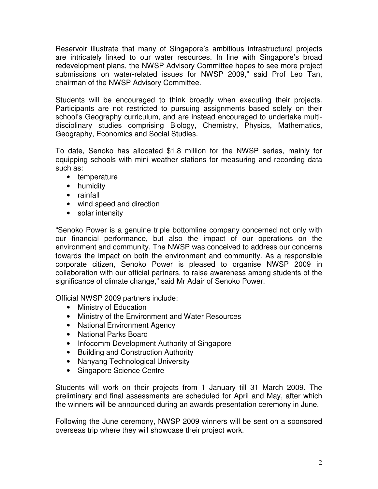Reservoir illustrate that many of Singapore's ambitious infrastructural projects are intricately linked to our water resources. In line with Singapore's broad redevelopment plans, the NWSP Advisory Committee hopes to see more project submissions on water-related issues for NWSP 2009," said Prof Leo Tan, chairman of the NWSP Advisory Committee.

Students will be encouraged to think broadly when executing their projects. Participants are not restricted to pursuing assignments based solely on their school's Geography curriculum, and are instead encouraged to undertake multidisciplinary studies comprising Biology, Chemistry, Physics, Mathematics, Geography, Economics and Social Studies.

To date, Senoko has allocated \$1.8 million for the NWSP series, mainly for equipping schools with mini weather stations for measuring and recording data such as:

- temperature
- humidity
- rainfall
- wind speed and direction
- solar intensity

"Senoko Power is a genuine triple bottomline company concerned not only with our financial performance, but also the impact of our operations on the environment and community. The NWSP was conceived to address our concerns towards the impact on both the environment and community. As a responsible corporate citizen, Senoko Power is pleased to organise NWSP 2009 in collaboration with our official partners, to raise awareness among students of the significance of climate change," said Mr Adair of Senoko Power.

Official NWSP 2009 partners include:

- Ministry of Education
- Ministry of the Environment and Water Resources
- National Environment Agency
- National Parks Board
- Infocomm Development Authority of Singapore
- Building and Construction Authority
- Nanyang Technological University
- Singapore Science Centre

Students will work on their projects from 1 January till 31 March 2009. The preliminary and final assessments are scheduled for April and May, after which the winners will be announced during an awards presentation ceremony in June.

Following the June ceremony, NWSP 2009 winners will be sent on a sponsored overseas trip where they will showcase their project work.